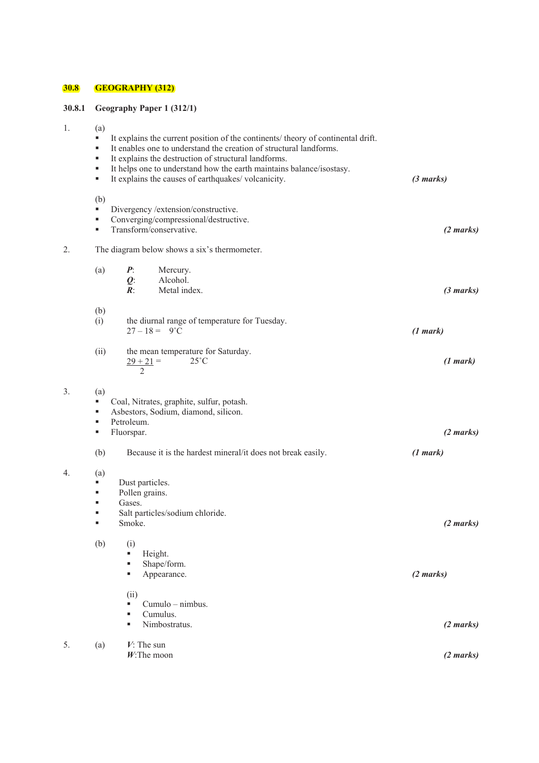# **30.8 GEOGRAPHY (312)**

 $\overline{1}$ .

 $3.$ 

 $4<sub>1</sub>$ 

# **30.8.1 Geography Paper 1 (312/1)**

| 1. | (a)<br>٠<br>٠<br>٠<br>٠<br>٠ | It explains the current position of the continents/ theory of continental drift.<br>It enables one to understand the creation of structural landforms.<br>It explains the destruction of structural landforms.<br>It helps one to understand how the earth maintains balance/isostasy.<br>It explains the causes of earthquakes/volcanicity. | (3 marks)           |  |  |  |  |  |  |  |  |
|----|------------------------------|----------------------------------------------------------------------------------------------------------------------------------------------------------------------------------------------------------------------------------------------------------------------------------------------------------------------------------------------|---------------------|--|--|--|--|--|--|--|--|
|    | (b)<br>٠<br>٠<br>٠           | Divergency /extension/constructive.<br>Converging/compressional/destructive.<br>Transform/conservative.                                                                                                                                                                                                                                      | (2 marks)           |  |  |  |  |  |  |  |  |
| 2. |                              | The diagram below shows a six's thermometer.                                                                                                                                                                                                                                                                                                 |                     |  |  |  |  |  |  |  |  |
|    | (a)                          | $P_{\cdot}$<br>Mercury.<br>$Q$ :<br>Alcohol.<br>$\mathbb{R}$ :<br>Metal index.                                                                                                                                                                                                                                                               | (3 marks)           |  |  |  |  |  |  |  |  |
|    | (b)<br>(i)                   | the diurnal range of temperature for Tuesday.<br>$27 - 18 = 9^{\circ}C$                                                                                                                                                                                                                                                                      | (1 mark)            |  |  |  |  |  |  |  |  |
|    | (ii)                         | the mean temperature for Saturday.<br>$25^{\circ}$ C<br>$29 + 21 =$<br>$\mathfrak{D}$                                                                                                                                                                                                                                                        | (1 mark)            |  |  |  |  |  |  |  |  |
| 3. | (a)<br>٠<br>٠<br>٠<br>٠      | Coal, Nitrates, graphite, sulfur, potash.<br>Asbestors, Sodium, diamond, silicon.<br>Petroleum.<br>Fluorspar.                                                                                                                                                                                                                                | (2 marks)           |  |  |  |  |  |  |  |  |
|    | (b)                          | Because it is the hardest mineral/it does not break easily.                                                                                                                                                                                                                                                                                  | (1 mark)            |  |  |  |  |  |  |  |  |
| 4. | (a)<br>٠<br>٠<br>٠<br>٠      | Dust particles.<br>Pollen grains.<br>Gases.<br>Salt particles/sodium chloride.<br>Smoke.                                                                                                                                                                                                                                                     | $(2 \text{ marks})$ |  |  |  |  |  |  |  |  |
|    | (b)                          | (i)<br>Height.<br>п<br>Shape/form.<br>٠<br>Appearance.<br>٠                                                                                                                                                                                                                                                                                  | (2 marks)           |  |  |  |  |  |  |  |  |
|    |                              | (ii)<br>Cumulo - nimbus.<br>п<br>Cumulus.<br>Е<br>Nimbostratus.<br>g,                                                                                                                                                                                                                                                                        | (2 marks)           |  |  |  |  |  |  |  |  |
| 5. | (a)                          | $V$ : The sun<br>$W$ : The moon                                                                                                                                                                                                                                                                                                              | (2 marks)           |  |  |  |  |  |  |  |  |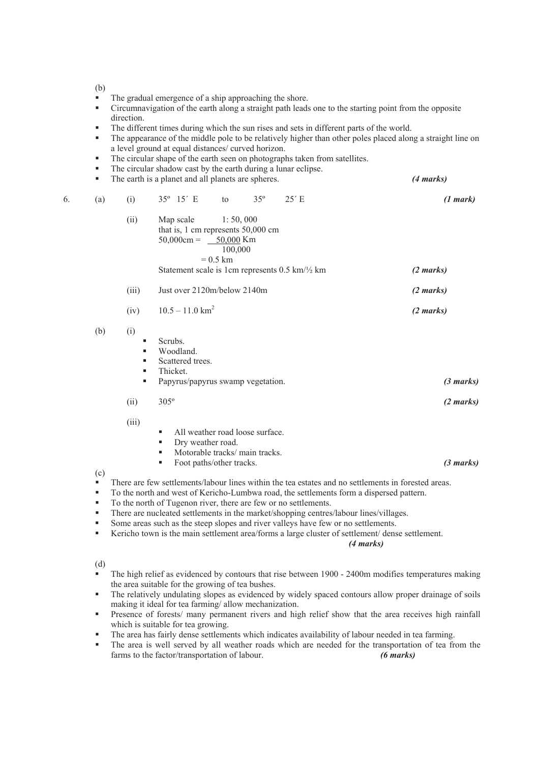(b)

- The gradual emergence of a ship approaching the shore.
- Circumnavigation of the earth along a straight path leads one to the starting point from the opposite direction.
- The different times during which the sun rises and sets in different parts of the world.
- The appearance of the middle pole to be relatively higher than other poles placed along a straight line on a level ground at equal distances/ curved horizon.
- The circular shape of the earth seen on photographs taken from satellites.
- The circular shadow cast by the earth during a lunar eclipse.
- The earth is a planet and all planets are spheres. *(4 marks)*

| (a)<br>6.  | (i)                     |                     | 35° 15′ E                                                                                                         | to                                 | $35^{\circ}$ | 25' E                                                      | (1 mark)            |
|------------|-------------------------|---------------------|-------------------------------------------------------------------------------------------------------------------|------------------------------------|--------------|------------------------------------------------------------|---------------------|
|            | (ii)                    |                     | Map scale<br>that is, 1 cm represents 50,000 cm<br>$50,000 \text{cm} = 50,000 \text{ Km}$                         | 1: 50,000<br>100,000<br>$= 0.5$ km |              | Statement scale is 1cm represents 0.5 km/ $\frac{1}{2}$ km | (2 marks)           |
|            | (iii)                   |                     | Just over 2120m/below 2140m                                                                                       |                                    |              |                                                            | (2 marks)           |
|            | (iv)                    |                     | $10.5 - 11.0$ km <sup>2</sup>                                                                                     |                                    |              |                                                            | (2 marks)           |
| (b)        | (i)<br>٠<br>٠<br>٠<br>٠ | Scrubs.<br>Thicket. | Woodland.<br>Scattered trees.<br>Papyrus/papyrus swamp vegetation.                                                |                                    |              |                                                            | $(3 \text{ marks})$ |
|            | (ii)                    | $305^\circ$         |                                                                                                                   |                                    |              |                                                            | (2 marks)           |
| $(\alpha)$ | (iii)                   | ш<br>٠<br>٠<br>ш    | All weather road loose surface.<br>Dry weather road.<br>Motorable tracks/main tracks.<br>Foot paths/other tracks. |                                    |              |                                                            | (3 marks)           |

(c)

 $\overrightarrow{ }$  There are few settlements/labour lines within the tea estates and no settlements in forested areas.

To the north and west of Kericho-Lumbwa road, the settlements form a dispersed pattern.

- To the north of Tugenon river, there are few or no settlements.
- There are nucleated settlements in the market/shopping centres/labour lines/villages.
- Some areas such as the steep slopes and river valleys have few or no settlements.
- Kericho town is the main settlement area/forms a large cluster of settlement/ dense settlement.

*(4 marks)*

(d)

- The high relief as evidenced by contours that rise between 1900 2400m modifies temperatures making the area suitable for the growing of tea bushes.
- The relatively undulating slopes as evidenced by widely spaced contours allow proper drainage of soils making it ideal for tea farming/ allow mechanization.
- Presence of forests/ many permanent rivers and high relief show that the area receives high rainfall which is suitable for tea growing.
- The area has fairly dense settlements which indicates availability of labour needed in tea farming.
- The area is well served by all weather roads which are needed for the transportation of tea from the farms to the factor/transportation of labour. *(6 marks)*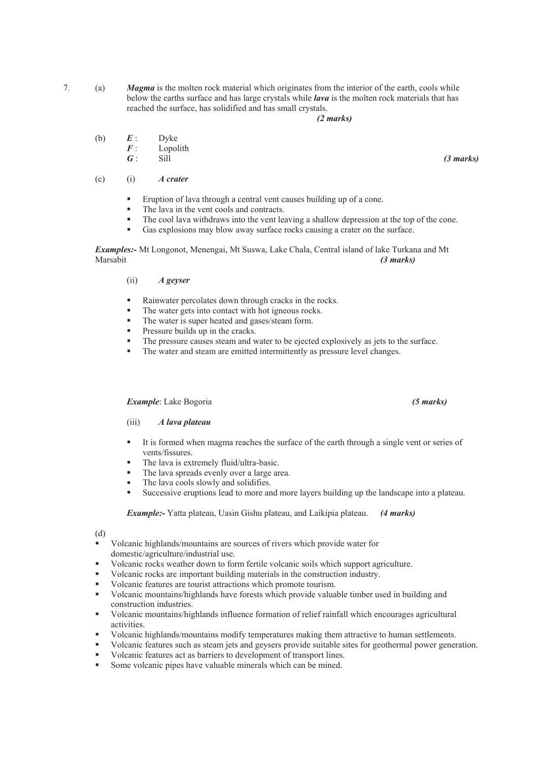7. (a) *Magma* is the molten rock material which originates from the interior of the earth, cools while below the earths surface and has large crystals while *lava* is the molten rock materials that has reached the surface, has solidified and has small crystals.

## *(2 marks)*

- (b)  $\begin{array}{ccc} E: & \text{Dyke} \\ F: & \text{Loop} \end{array}$ 
	- $F$ : Lopolith<br> $G$ : Sill
- *G* : Sill *(3 marks)*
	- (c) (i) *A crater*
		- Eruption of lava through a central vent causes building up of a cone.
		- The lava in the vent cools and contracts.
		- The cool lava withdraws into the vent leaving a shallow depression at the top of the cone.
		- Gas explosions may blow away surface rocks causing a crater on the surface.

*Examples:-* Mt Longonot, Menengai, Mt Suswa, Lake Chala, Central island of lake Turkana and Mt Marsabit *(3 marks)*

## (ii) *A geyser*

- Rainwater percolates down through cracks in the rocks.
- The water gets into contact with hot igneous rocks.
- The water is super heated and gases/steam form.
- Pressure builds up in the cracks.
- The pressure causes steam and water to be ejected explosively as jets to the surface.<br>The water and steam are emitted intermittantly as pressure layel shapes.
- The water and steam are emitted intermittently as pressure level changes.

## *Example*: Lake Bogoria *(5 marks)*

## (iii) *A lava plateau*

- It is formed when magma reaches the surface of the earth through a single vent or series of vents/fissures.
- The lava is extremely fluid/ultra-basic.
- The lava spreads evenly over a large area.
- The lava cools slowly and solidifies.
- Successive eruptions lead to more and more layers building up the landscape into a plateau.

*Example:-* Yatta plateau, Uasin Gishu plateau, and Laikipia plateau. *(4 marks)*

(d)

- Volcanic highlands/mountains are sources of rivers which provide water for domestic/agriculture/industrial use.
- Volcanic rocks weather down to form fertile volcanic soils which support agriculture.
- Volcanic rocks are important building materials in the construction industry.
- Volcanic features are tourist attractions which promote tourism.
- Volcanic mountains/highlands have forests which provide valuable timber used in building and construction industries.
- Volcanic mountains/highlands influence formation of relief rainfall which encourages agricultural activities.
- Volcanic highlands/mountains modify temperatures making them attractive to human settlements.
- Volcanic features such as steam jets and geysers provide suitable sites for geothermal power generation.
- Volcanic features act as barriers to development of transport lines.
- Some volcanic pipes have valuable minerals which can be mined.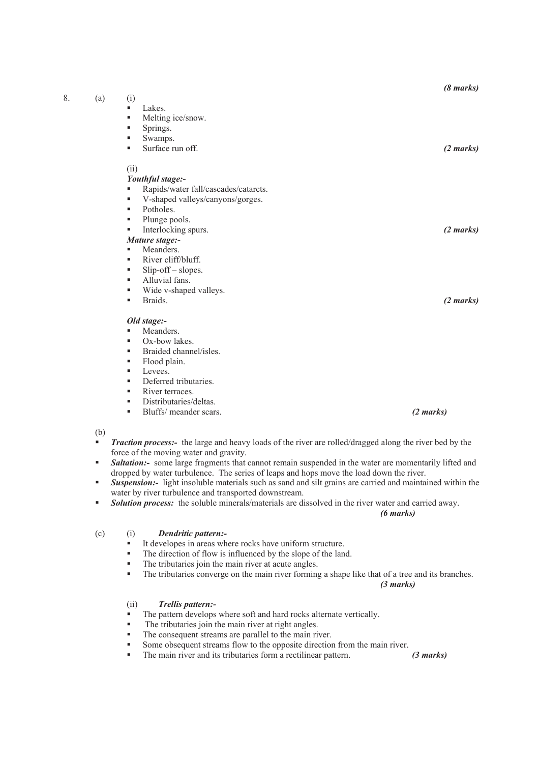|    |     |                                           | $(8 \text{ marks})$ |
|----|-----|-------------------------------------------|---------------------|
| 8. | (a) | (i)                                       |                     |
|    |     | Lakes.<br>٠                               |                     |
|    |     | Melting ice/snow.<br>٠                    |                     |
|    |     | Springs.<br>٠                             |                     |
|    |     | Swamps.<br>٠                              |                     |
|    |     | Surface run off.<br>ш                     | (2 marks)           |
|    |     | (ii)                                      |                     |
|    |     | Youthful stage:-                          |                     |
|    |     | Rapids/water fall/cascades/catarcts.<br>٠ |                     |
|    |     | V-shaped valleys/canyons/gorges.<br>٠     |                     |
|    |     | Potholes.<br>٠                            |                     |
|    |     | Plunge pools.<br>٠                        |                     |
|    |     | Interlocking spurs.<br>٠                  | (2 marks)           |
|    |     | Mature stage:-                            |                     |
|    |     | Meanders.<br>ш                            |                     |
|    |     | River cliff/bluff.<br>٠                   |                     |
|    |     | Slip-off-slopes.<br>٠                     |                     |
|    |     | Alluvial fans.<br>٠                       |                     |
|    |     | Wide v-shaped valleys.<br>٠               |                     |
|    |     | Braids.<br>٠                              | (2 marks)           |
|    |     | Old stage:-                               |                     |
|    |     | Meanders.<br>٠                            |                     |
|    |     | Ox-bow lakes.<br>ш                        |                     |
|    |     | Braided channel/isles.<br>٠               |                     |
|    |     | Flood plain.<br>٠                         |                     |

- Levees.
- Deferred tributaries.
- River terraces.
- **Distributaries/deltas.**
- Bluffs/ meander scars. *(2 marks)*

(b)

- *Traction process:-* the large and heavy loads of the river are rolled/dragged along the river bed by the force of the moving water and gravity.
- **Saltation:-** some large fragments that cannot remain suspended in the water are momentarily lifted and dropped by water turbulence. The series of leaps and hops move the load down the river.
- *Suspension:-* light insoluble materials such as sand and silt grains are carried and maintained within the water by river turbulence and transported downstream.
- **Solution process:** the soluble minerals/materials are dissolved in the river water and carried away.

*(6 marks)*

## (c) (i) *Dendritic pattern:-*

- It developes in areas where rocks have uniform structure.
- The direction of flow is influenced by the slope of the land.
- The tributaries join the main river at acute angles.<br>The tributaries converge on the main river forming
- The tributaries converge on the main river forming a shape like that of a tree and its branches.

## *(3 marks)*

# (ii) *Trellis pattern:-*

- The pattern develops where soft and hard rocks alternate vertically.
- The tributaries join the main river at right angles.
- The consequent streams are parallel to the main river.
- Some obsequent streams flow to the opposite direction from the main river.
- The main river and its tributaries form a rectilinear pattern. *(3 marks)*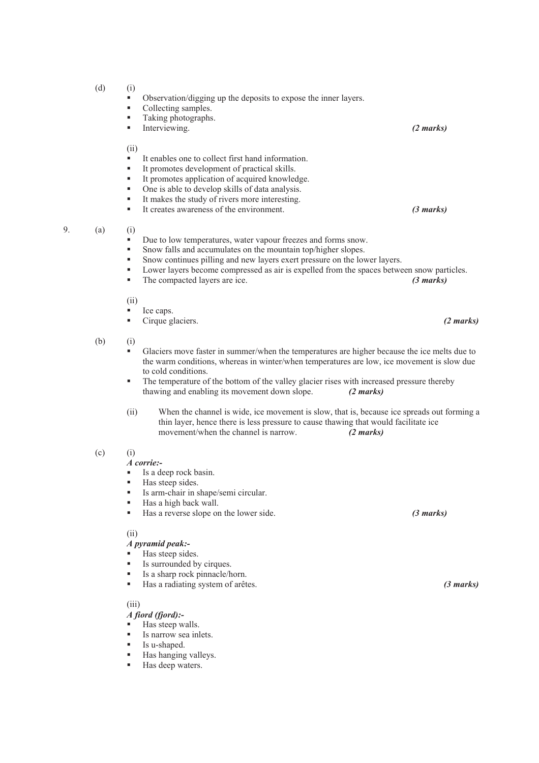- $(d)$  (i)
	- $\bullet$  Observation/digging up the deposits to expose the inner layers.
	- Collecting samples.<br>
	Taking photographs
	- Taking photographs.
	- Interviewing. *(2 marks)*

(ii)

- It enables one to collect first hand information.
- It promotes development of practical skills.
- It promotes application of acquired knowledge.
- One is able to develop skills of data analysis.
- It makes the study of rivers more interesting.
- It creates awareness of the environment. *(3 marks)*

- 9. (a) (i)
	- Due to low temperatures, water vapour freezes and forms snow.
	- Snow falls and accumulates on the mountain top/higher slopes.
	- Snow continues pilling and new layers exert pressure on the lower layers.
	- Lower layers become compressed as air is expelled from the spaces between snow particles.
	- The compacted layers are ice. *(3 marks)*

(ii)

- Ice caps.
- Cirque glaciers. *(2 marks)*

(b) (i)

- Glaciers move faster in summer/when the temperatures are higher because the ice melts due to the warm conditions, whereas in winter/when temperatures are low, ice movement is slow due to cold conditions.
- The temperature of the bottom of the valley glacier rises with increased pressure thereby thawing and enabling its movement down slope. *(2 marks)*
- (ii) When the channel is wide, ice movement is slow, that is, because ice spreads out forming a thin layer, hence there is less pressure to cause thawing that would facilitate ice movement/when the channel is narrow. *(2 marks)*
- $(c)$  (i)
	- *A corrie:-*
	- $\blacksquare$  Is a deep rock basin.
	- Has steep sides.
	- Is arm-chair in shape/semi circular.
	- Has a high back wall.
	- Has a reverse slope on the lower side. *(3 marks)*

(ii)

#### *A pyramid peak:-*

- Has steep sides.
- Is surrounded by cirques.
- Is a sharp rock pinnacle/horn.
- Has a radiating system of arêtes. *(3 marks)*

(iii)

- *A fiord (fjord):-*
- Has steep walls.
- Is narrow sea inlets.
- Is u-shaped.
- Has hanging valleys.
- Has deep waters.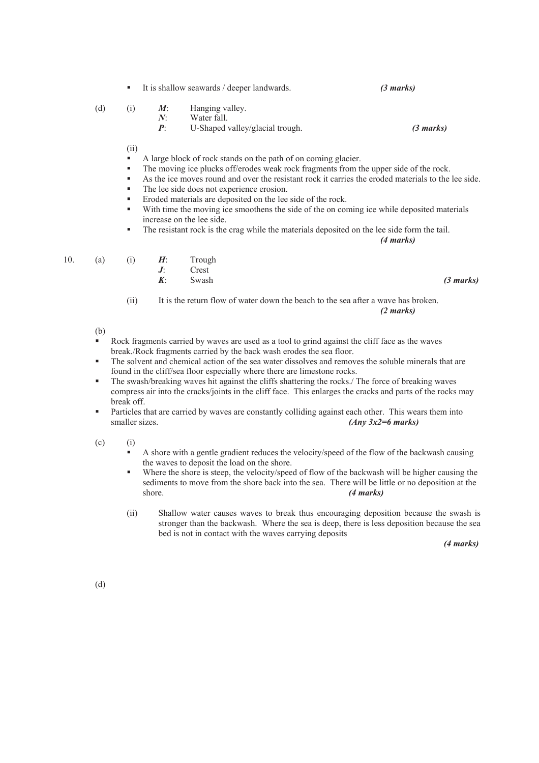| (d) | (1) | $N^{\cdot}$ | $M$ : Hanging valley.<br>Water fall.<br>$P$ : U-Shaped valley/glacial trough. | (3 marks) |
|-----|-----|-------------|-------------------------------------------------------------------------------|-----------|
|     |     |             |                                                                               |           |

It is shallow seawards / deeper landwards. *(3 marks)* 

(ii)

- A large block of rock stands on the path of on coming glacier.
- The moving ice plucks off/erodes weak rock fragments from the upper side of the rock.
- As the ice moves round and over the resistant rock it carries the eroded materials to the lee side.
- The lee side does not experience erosion.
- Eroded materials are deposited on the lee side of the rock.
- With time the moving ice smoothens the side of the on coming ice while deposited materials increase on the lee side.
- The resistant rock is the crag while the materials deposited on the lee side form the tail.

*(4 marks)*

| 10. | (a) |  | H. | Trough |
|-----|-----|--|----|--------|
|-----|-----|--|----|--------|

- *J*: Crest<br>*K*: Swas
- *K*: Swash *(3 marks)*

 (ii) It is the return flow of water down the beach to the sea after a wave has broken. *(2 marks)*

(b)

- Rock fragments carried by waves are used as a tool to grind against the cliff face as the waves break./Rock fragments carried by the back wash erodes the sea floor.
- The solvent and chemical action of the sea water dissolves and removes the soluble minerals that are found in the cliff/sea floor especially where there are limestone rocks.
- The swash/breaking waves hit against the cliffs shattering the rocks./ The force of breaking waves compress air into the cracks/joints in the cliff face. This enlarges the cracks and parts of the rocks may break off.
- Particles that are carried by waves are constantly colliding against each other. This wears them into smaller sizes. *(Any 3x2=6 marks)*

 $(c)$  (i)

- A shore with a gentle gradient reduces the velocity/speed of the flow of the backwash causing the waves to deposit the load on the shore.
- Where the shore is steep, the velocity/speed of flow of the backwash will be higher causing the sediments to move from the shore back into the sea. There will be little or no deposition at the shore. *(4 marks)*
- (ii) Shallow water causes waves to break thus encouraging deposition because the swash is stronger than the backwash. Where the sea is deep, there is less deposition because the sea bed is not in contact with the waves carrying deposits

*(4 marks)*

(d)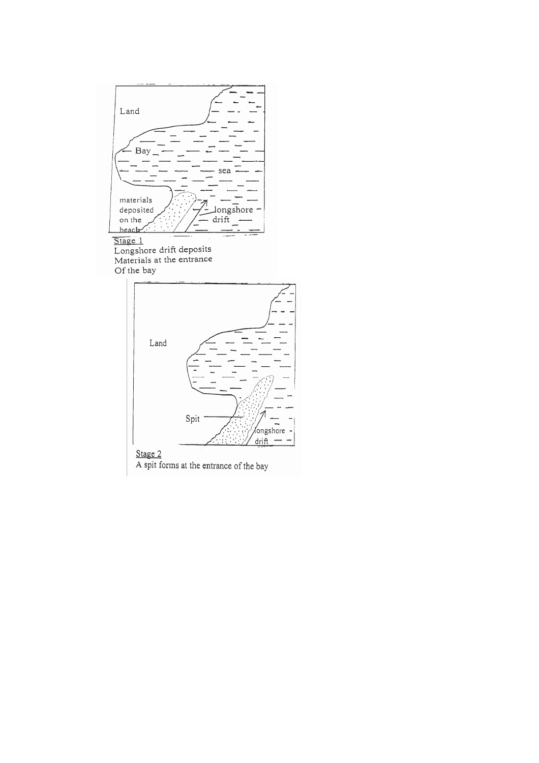

Stage 1<br>Longshore drift deposits<br>Materials at the entrance Of the bay



Stage  $2$ <br>A spit forms at the entrance of the bay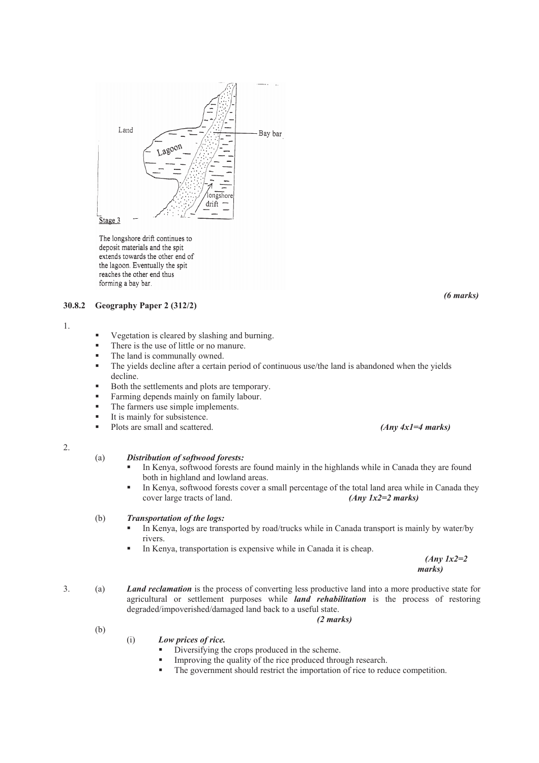

The longshore drift continues to deposit materials and the spit extends towards the other end of the lagoon. Eventually the spit reaches the other end thus forming a bay bar.

## **30.8.2 Geography Paper 2 (312/2)**

1.

- Vegetation is cleared by slashing and burning.
- There is the use of little or no manure.
- The land is communally owned.
- The yields decline after a certain period of continuous use/the land is abandoned when the yields decline.
- Both the settlements and plots are temporary.
- Farming depends mainly on family labour.
- The farmers use simple implements.
- $\blacksquare$  It is mainly for subsistence.
- Plots are small and scattered. *(Any 4x1=4 marks)*

2.

#### (a) *Distribution of softwood forests:*

- In Kenya, softwood forests are found mainly in the highlands while in Canada they are found both in highland and lowland areas.
- In Kenya, softwood forests cover a small percentage of the total land area while in Canada they cover large tracts of land. *(Any 1x2=2 marks)*

#### (b) *Transportation of the logs:*

- In Kenya, logs are transported by road/trucks while in Canada transport is mainly by water/by rivers.
- In Kenya, transportation is expensive while in Canada it is cheap.

*(Any 1x2=2 marks)*

3. (a) *Land reclamation* is the process of converting less productive land into a more productive state for agricultural or settlement purposes while *land rehabilitation* is the process of restoring degraded/impoverished/damaged land back to a useful state.

*(2 marks)*

- (i) *Low prices of rice.*
	- Diversifying the crops produced in the scheme.
	- Improving the quality of the rice produced through research.
	- The government should restrict the importation of rice to reduce competition.

*(6 marks)* 

(b)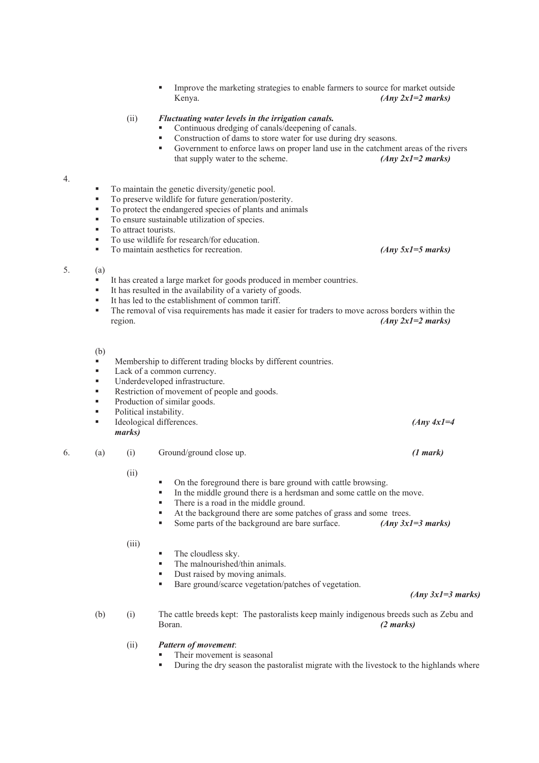Improve the marketing strategies to enable farmers to source for market outside Kenya. *(Any 2x1=2 marks)* 

## (ii) *Fluctuating water levels in the irrigation canals.*

- Continuous dredging of canals/deepening of canals.
- Construction of dams to store water for use during dry seasons.<br>• Government to enforce laws on proper land use in the catchmen
- Government to enforce laws on proper land use in the catchment areas of the rivers that supply water to the scheme. *(Any 2x1=2 marks)*

## 4.

- **To maintain the genetic diversity/genetic pool.**
- To preserve wildlife for future generation/posterity.
- To protect the endangered species of plants and animals
- To ensure sustainable utilization of species.
- **To attract tourists.**
- To use wildlife for research/for education.
- To maintain aesthetics for recreation. *(Any 5x1=5 marks)*

#### 5. (a)

- It has created a large market for goods produced in member countries.
- It has resulted in the availability of a variety of goods.
- It has led to the establishment of common tariff.
- The removal of visa requirements has made it easier for traders to move across borders within the region. *(Any 2x1=2 marks)*

(b)

- Membership to different trading blocks by different countries.
- Lack of a common currency.
- Underdeveloped infrastructure.
- Restriction of movement of people and goods.
- Production of similar goods.
- Political instability.
- Ideological differences. *(Any 4x1=4 marks)*

6. (a) (i) Ground/ground close up. *(1 mark)*

## (ii)

- On the foreground there is bare ground with cattle browsing.
- In the middle ground there is a herdsman and some cattle on the move.
- There is a road in the middle ground.
- At the background there are some patches of grass and some trees.
- Some parts of the background are bare surface. *(Any 3x1=3 marks)*

(iii)

- The cloudless sky.
- The malnourished/thin animals.
- Dust raised by moving animals.
- Bare ground/scarce vegetation/patches of vegetation.

*(Any 3x1=3 marks)*

- (b) (i) The cattle breeds kept: The pastoralists keep mainly indigenous breeds such as Zebu and Boran. *(2 marks)*
	- (ii) *Pattern of movement*:
		- Their movement is seasonal
		- **During the dry season the pastoralist migrate with the livestock to the highlands where**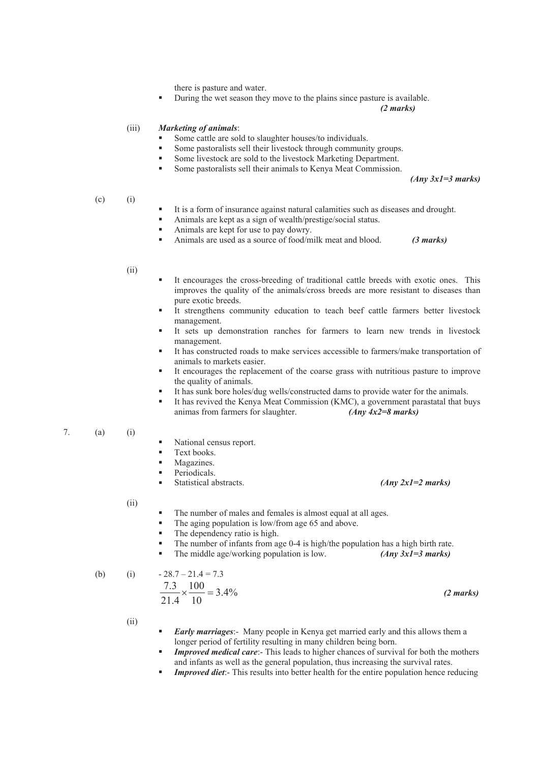there is pasture and water.

During the wet season they move to the plains since pasture is available.

*(2 marks)*

## (iii) *Marketing of animals*:

- Some cattle are sold to slaughter houses/to individuals.
- Some pastoralists sell their livestock through community groups.
- Some livestock are sold to the livestock Marketing Department.
- Some pastoralists sell their animals to Kenya Meat Commission.

*(Any 3x1=3 marks)*

## $(c)$  (i)

- It is a form of insurance against natural calamities such as diseases and drought.
	- Animals are kept as a sign of wealth/prestige/social status.
- Animals are kept for use to pay dowry.
- Animals are used as a source of food/milk meat and blood. *(3 marks)*

## (ii)

- It encourages the cross-breeding of traditional cattle breeds with exotic ones. This improves the quality of the animals/cross breeds are more resistant to diseases than pure exotic breeds.
- It strengthens community education to teach beef cattle farmers better livestock management.
- It sets up demonstration ranches for farmers to learn new trends in livestock management.
- It has constructed roads to make services accessible to farmers/make transportation of animals to markets easier.
- It encourages the replacement of the coarse grass with nutritious pasture to improve the quality of animals.
- It has sunk bore holes/dug wells/constructed dams to provide water for the animals.
- It has revived the Kenya Meat Commission (KMC), a government parastatal that buys animas from farmers for slaughter. *(Any 4x2=8 marks)*

## 7. (a) (i)

- National census report.
- Text books.
- Magazines.
- Periodicals.
- 

## Statistical abstracts. *(Any 2x1=2 marks)*

(ii)

- The number of males and females is almost equal at all ages.
- The aging population is low/from age 65 and above.
- The dependency ratio is high.
- The number of infants from age 0-4 is high/the population has a high birth rate.
	- The middle age/working population is low. *(Any 3x1=3 marks)*

(b) (i) 
$$
-28.7 - 21.4 = 7.3
$$
  
\n
$$
\frac{7.3}{21.4} \times \frac{100}{10} = 3.4\%
$$
 (2 marks)

(ii)

- *Early marriages*:- Many people in Kenya get married early and this allows them a longer period of fertility resulting in many children being born.
- *Improved medical care*:- This leads to higher chances of survival for both the mothers and infants as well as the general population, thus increasing the survival rates.
- *Improved diet*:- This results into better health for the entire population hence reducing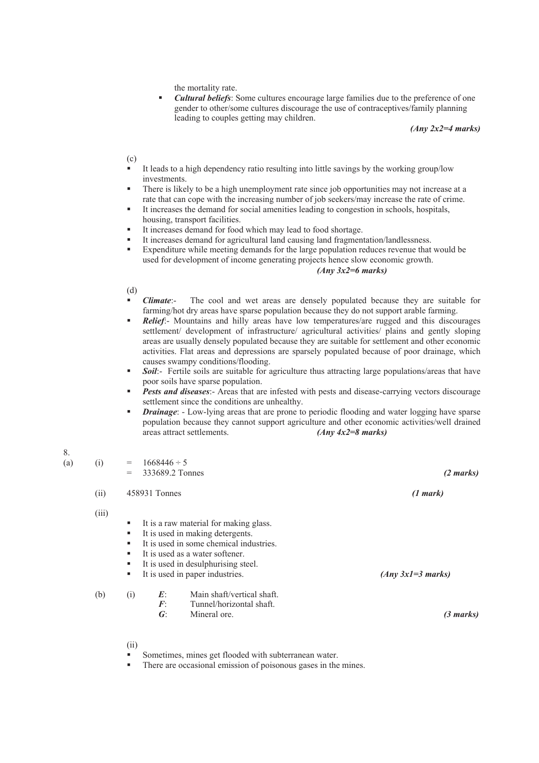the mortality rate.

 *Cultural beliefs*: Some cultures encourage large families due to the preference of one gender to other/some cultures discourage the use of contraceptives/family planning leading to couples getting may children.

*(Any 2x2=4 marks)*

(c)

- It leads to a high dependency ratio resulting into little savings by the working group/low investments.
- There is likely to be a high unemployment rate since job opportunities may not increase at a rate that can cope with the increasing number of job seekers/may increase the rate of crime.
- It increases the demand for social amenities leading to congestion in schools, hospitals, housing, transport facilities.
- It increases demand for food which may lead to food shortage.
- It increases demand for agricultural land causing land fragmentation/landlessness.
- Expenditure while meeting demands for the large population reduces revenue that would be used for development of income generating projects hence slow economic growth.

## *(Any 3x2=6 marks)*

## (d)

8.

- *Climate*:- The cool and wet areas are densely populated because they are suitable for farming/hot dry areas have sparse population because they do not support arable farming.
- *Relief*:- Mountains and hilly areas have low temperatures/are rugged and this discourages settlement/ development of infrastructure/ agricultural activities/ plains and gently sloping areas are usually densely populated because they are suitable for settlement and other economic activities. Flat areas and depressions are sparsely populated because of poor drainage, which causes swampy conditions/flooding.
- *Soil*:- Fertile soils are suitable for agriculture thus attracting large populations/areas that have poor soils have sparse population.
- *Pests and diseases*:- Areas that are infested with pests and disease-carrying vectors discourage settlement since the conditions are unhealthy.
- *Drainage*: Low-lying areas that are prone to periodic flooding and water logging have sparse population because they cannot support agriculture and other economic activities/well drained areas attract settlements. *(Any 4x2=8 marks)*

| (a) | (i)   | $=$<br>$=$                 | $1668446 \div 5$<br>333689.2 Tonnes |                                                                                                                                                                                                                                    | (2 marks)           |  |
|-----|-------|----------------------------|-------------------------------------|------------------------------------------------------------------------------------------------------------------------------------------------------------------------------------------------------------------------------------|---------------------|--|
|     | (ii)  |                            | 458931 Tonnes                       |                                                                                                                                                                                                                                    | (1 mark)            |  |
|     | (iii) | ٠<br>٠<br>٠<br>٠<br>٠<br>٠ |                                     | It is a raw material for making glass.<br>It is used in making detergents.<br>It is used in some chemical industries.<br>It is used as a water softener.<br>It is used in desulphurising steel.<br>It is used in paper industries. | $(Any 3x1=3 marks)$ |  |
|     | (b)   | (i)                        | E<br>$\bm{F}$<br>$\boldsymbol{G}$ : | Main shaft/vertical shaft.<br>Tunnel/horizontal shaft.<br>Mineral ore.                                                                                                                                                             | $(3 \text{ marks})$ |  |

- (ii)
- Sometimes, mines get flooded with subterranean water.
- There are occasional emission of poisonous gases in the mines.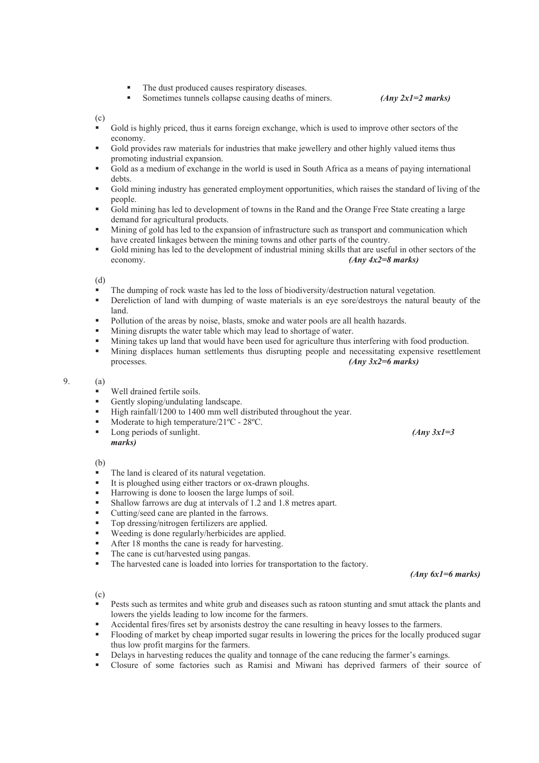- The dust produced causes respiratory diseases.
- Sometimes tunnels collapse causing deaths of miners. *(Any 2x1=2 marks)*

(c)

- Gold is highly priced, thus it earns foreign exchange, which is used to improve other sectors of the economy.
- Gold provides raw materials for industries that make jewellery and other highly valued items thus promoting industrial expansion.
- Gold as a medium of exchange in the world is used in South Africa as a means of paying international debts.
- Gold mining industry has generated employment opportunities, which raises the standard of living of the people.
- Gold mining has led to development of towns in the Rand and the Orange Free State creating a large demand for agricultural products.
- Mining of gold has led to the expansion of infrastructure such as transport and communication which have created linkages between the mining towns and other parts of the country.
- Gold mining has led to the development of industrial mining skills that are useful in other sectors of the economy. *(Any 4x2=8 marks)*

(d)

- The dumping of rock waste has led to the loss of biodiversity/destruction natural vegetation.
- **PEREDIA** Dereliction of land with dumping of waste materials is an eye sore/destroys the natural beauty of the land.
- Pollution of the areas by noise, blasts, smoke and water pools are all health hazards.
- **Mining disrupts the water table which may lead to shortage of water.**
- Mining takes up land that would have been used for agriculture thus interfering with food production.<br>Mining displaces human settlements thus disputing people and pecessitating expensive resettlements
- Mining displaces human settlements thus disrupting people and necessitating expensive resettlement processes. *(Any 3x2=6 marks)*

## 9. (a)

- Well drained fertile soils.
- Gently sloping/undulating landscape.
- High rainfall/1200 to 1400 mm well distributed throughout the year.
- Moderate to high temperature/21<sup>o</sup>C 28<sup>o</sup>C.
- Long periods of sunlight. *(Any 3x1=3) marks)*

(b)

- The land is cleared of its natural vegetation.
- It is ploughed using either tractors or ox-drawn ploughs.
- Harrowing is done to loosen the large lumps of soil.
- Shallow farrows are dug at intervals of 1.2 and 1.8 metres apart.
- Cutting/seed cane are planted in the farrows.
- Top dressing/nitrogen fertilizers are applied.
- Weeding is done regularly/herbicides are applied.
- After 18 months the cane is ready for harvesting.
- The cane is cut/harvested using pangas.
- The harvested cane is loaded into lorries for transportation to the factory.

*(Any 6x1=6 marks)* 

(c)

- Pests such as termites and white grub and diseases such as ratoon stunting and smut attack the plants and lowers the yields leading to low income for the farmers.
- Accidental fires/fires set by arsonists destroy the cane resulting in heavy losses to the farmers.
- Flooding of market by cheap imported sugar results in lowering the prices for the locally produced sugar thus low profit margins for the farmers.
- Delays in harvesting reduces the quality and tonnage of the cane reducing the farmer's earnings.
- Closure of some factories such as Ramisi and Miwani has deprived farmers of their source of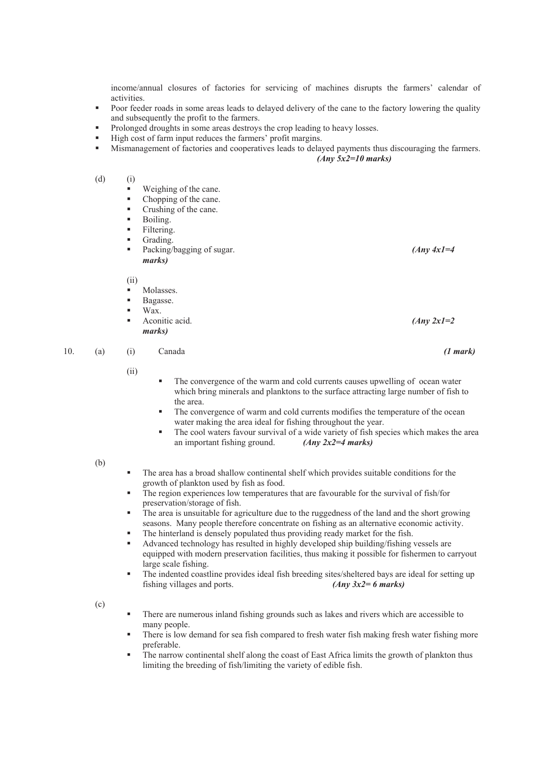income/annual closures of factories for servicing of machines disrupts the farmers' calendar of activities.

- Poor feeder roads in some areas leads to delayed delivery of the cane to the factory lowering the quality and subsequently the profit to the farmers.
- Prolonged droughts in some areas destroys the crop leading to heavy losses.
- High cost of farm input reduces the farmers' profit margins.
- Mismanagement of factories and cooperatives leads to delayed payments thus discouraging the farmers. *(Any 5x2=10 marks)*

(d) (i)

- Weighing of the cane.
- Chopping of the cane.
- Crushing of the cane.
- Boiling.
- Filtering.
- Grading.
- Packing/bagging of sugar. *(Any 4x1=4) marks)*

(ii)

- Molasses.
- Bagasse.
- Wax.
- Aconitic acid. *(Any 2x1=2 marks)*

10. (a) (i) Canada *(1 mark)* 

(ii)

- The convergence of the warm and cold currents causes upwelling of ocean water which bring minerals and planktons to the surface attracting large number of fish to the area.
	- The convergence of warm and cold currents modifies the temperature of the ocean water making the area ideal for fishing throughout the year.
	- The cool waters favour survival of a wide variety of fish species which makes the area an important fishing ground. *(Any 2x2=4 marks)*

(b)

- The area has a broad shallow continental shelf which provides suitable conditions for the growth of plankton used by fish as food.
- The region experiences low temperatures that are favourable for the survival of fish/for preservation/storage of fish.
- The area is unsuitable for agriculture due to the ruggedness of the land and the short growing seasons. Many people therefore concentrate on fishing as an alternative economic activity.
- The hinterland is densely populated thus providing ready market for the fish.
- Advanced technology has resulted in highly developed ship building/fishing vessels are equipped with modern preservation facilities, thus making it possible for fishermen to carryout large scale fishing.
- The indented coastline provides ideal fish breeding sites/sheltered bays are ideal for setting up fishing villages and ports. *(Any 3x2= 6 marks)*

(c)

- There are numerous inland fishing grounds such as lakes and rivers which are accessible to many people.
- There is low demand for sea fish compared to fresh water fish making fresh water fishing more preferable.
- The narrow continental shelf along the coast of East Africa limits the growth of plankton thus limiting the breeding of fish/limiting the variety of edible fish.